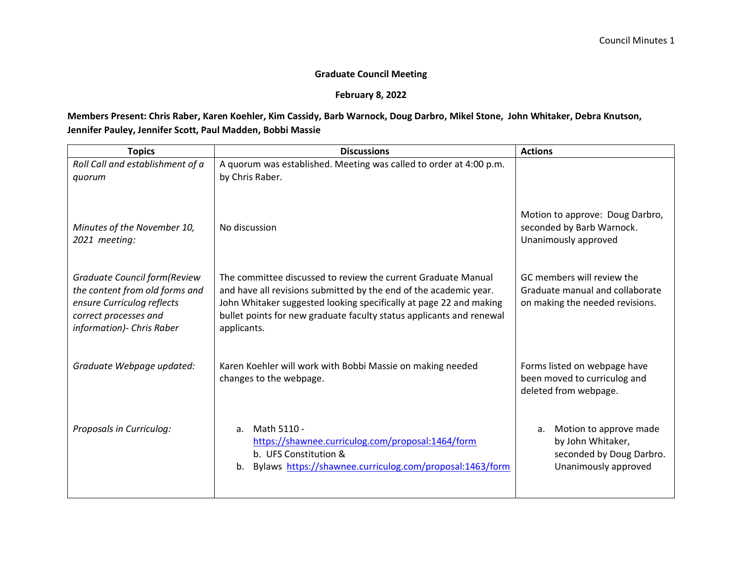## **Graduate Council Meeting**

## **February 8, 2022**

## **Members Present: Chris Raber, Karen Koehler, Kim Cassidy, Barb Warnock, Doug Darbro, Mikel Stone, John Whitaker, Debra Knutson, Jennifer Pauley, Jennifer Scott, Paul Madden, Bobbi Massie**

| <b>Topics</b>                                                                                                                                               | <b>Discussions</b>                                                                                                                                                                                                                                                                              | <b>Actions</b>                                                                                        |  |
|-------------------------------------------------------------------------------------------------------------------------------------------------------------|-------------------------------------------------------------------------------------------------------------------------------------------------------------------------------------------------------------------------------------------------------------------------------------------------|-------------------------------------------------------------------------------------------------------|--|
| Roll Call and establishment of a<br>quorum                                                                                                                  | A quorum was established. Meeting was called to order at 4:00 p.m.<br>by Chris Raber.                                                                                                                                                                                                           |                                                                                                       |  |
| Minutes of the November 10,<br>2021 meeting:                                                                                                                | No discussion                                                                                                                                                                                                                                                                                   | Motion to approve: Doug Darbro,<br>seconded by Barb Warnock.<br>Unanimously approved                  |  |
| <b>Graduate Council form (Review</b><br>the content from old forms and<br>ensure Curriculog reflects<br>correct processes and<br>information) - Chris Raber | The committee discussed to review the current Graduate Manual<br>and have all revisions submitted by the end of the academic year.<br>John Whitaker suggested looking specifically at page 22 and making<br>bullet points for new graduate faculty status applicants and renewal<br>applicants. | GC members will review the<br>Graduate manual and collaborate<br>on making the needed revisions.      |  |
| Graduate Webpage updated:                                                                                                                                   | Karen Koehler will work with Bobbi Massie on making needed<br>changes to the webpage.                                                                                                                                                                                                           | Forms listed on webpage have<br>been moved to curriculog and<br>deleted from webpage.                 |  |
| Proposals in Curriculog:                                                                                                                                    | Math 5110 -<br>a.<br>https://shawnee.curriculog.com/proposal:1464/form<br>b. UFS Constitution &<br>Bylaws https://shawnee.curriculog.com/proposal:1463/form<br>b.                                                                                                                               | Motion to approve made<br>a.<br>by John Whitaker,<br>seconded by Doug Darbro.<br>Unanimously approved |  |